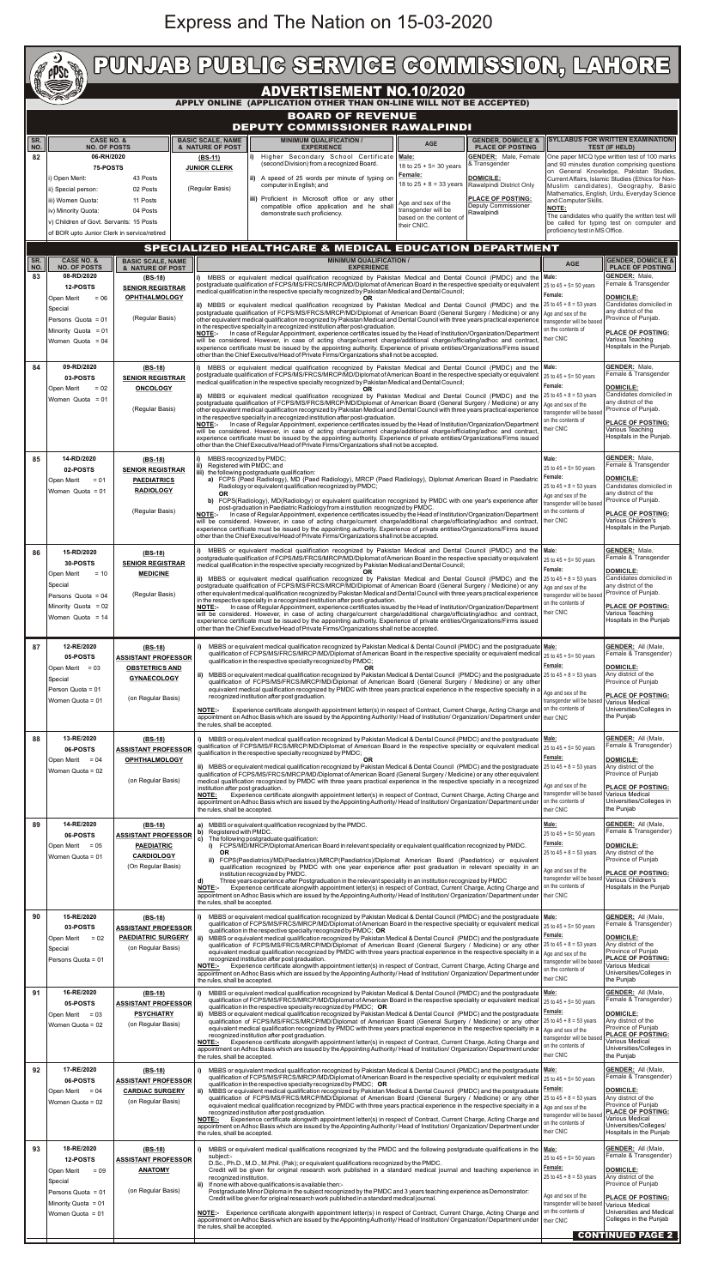## Express and The Nation on 15-03-2020

|                  | t)<br><b>Company</b><br><b>PPSC</b>                                                                                                                                          | PUNJAB PUBLIG SERVIGE GOMMISSION, LAHORE                                                                                                                          |                                                                                                                                                                                                                                                                                                                                                                                                                                                                                                                                                                                                                                                                                                                                                                                                                                                                                                                                                                                                                                                                                     |                                                                                                                                                                                                                                                                                                                                                                                                                                                                                                                                                                                                                                                                                                                                                                                                                                                                                                                                                                                                                                                                                                                                                                                                                                                                                                                                                                                                                                                                                                                                                                          |                                                                                         |                                                                                                                                                                                                              |                                                                                                                                                                                                                                                                                                                                                                                                                                                                                                                                                                                                                                                                                                                                                                                                                                                                                                                                                     |                                                                                                                                                                                                                                                                                                                                                                                                                                                                                                                                      |                                                                                                                                                                                                                                                                                   |
|------------------|------------------------------------------------------------------------------------------------------------------------------------------------------------------------------|-------------------------------------------------------------------------------------------------------------------------------------------------------------------|-------------------------------------------------------------------------------------------------------------------------------------------------------------------------------------------------------------------------------------------------------------------------------------------------------------------------------------------------------------------------------------------------------------------------------------------------------------------------------------------------------------------------------------------------------------------------------------------------------------------------------------------------------------------------------------------------------------------------------------------------------------------------------------------------------------------------------------------------------------------------------------------------------------------------------------------------------------------------------------------------------------------------------------------------------------------------------------|--------------------------------------------------------------------------------------------------------------------------------------------------------------------------------------------------------------------------------------------------------------------------------------------------------------------------------------------------------------------------------------------------------------------------------------------------------------------------------------------------------------------------------------------------------------------------------------------------------------------------------------------------------------------------------------------------------------------------------------------------------------------------------------------------------------------------------------------------------------------------------------------------------------------------------------------------------------------------------------------------------------------------------------------------------------------------------------------------------------------------------------------------------------------------------------------------------------------------------------------------------------------------------------------------------------------------------------------------------------------------------------------------------------------------------------------------------------------------------------------------------------------------------------------------------------------------|-----------------------------------------------------------------------------------------|--------------------------------------------------------------------------------------------------------------------------------------------------------------------------------------------------------------|-----------------------------------------------------------------------------------------------------------------------------------------------------------------------------------------------------------------------------------------------------------------------------------------------------------------------------------------------------------------------------------------------------------------------------------------------------------------------------------------------------------------------------------------------------------------------------------------------------------------------------------------------------------------------------------------------------------------------------------------------------------------------------------------------------------------------------------------------------------------------------------------------------------------------------------------------------|--------------------------------------------------------------------------------------------------------------------------------------------------------------------------------------------------------------------------------------------------------------------------------------------------------------------------------------------------------------------------------------------------------------------------------------------------------------------------------------------------------------------------------------|-----------------------------------------------------------------------------------------------------------------------------------------------------------------------------------------------------------------------------------------------------------------------------------|
|                  |                                                                                                                                                                              |                                                                                                                                                                   |                                                                                                                                                                                                                                                                                                                                                                                                                                                                                                                                                                                                                                                                                                                                                                                                                                                                                                                                                                                                                                                                                     |                                                                                                                                                                                                                                                                                                                                                                                                                                                                                                                                                                                                                                                                                                                                                                                                                                                                                                                                                                                                                                                                                                                                                                                                                                                                                                                                                                                                                                                                                                                                                                          |                                                                                         | <b>ADVERTISEMENT NO.10/2020</b>                                                                                                                                                                              |                                                                                                                                                                                                                                                                                                                                                                                                                                                                                                                                                                                                                                                                                                                                                                                                                                                                                                                                                     |                                                                                                                                                                                                                                                                                                                                                                                                                                                                                                                                      |                                                                                                                                                                                                                                                                                   |
|                  | APPLY ONLINE (APPLICATION OTHER THAN ON-LINE WILL NOT BE ACCEPTED)<br><b>BOARD OF REVENUE</b><br><b>DEPUTY COMMISSIONER RAWALPINDI</b>                                       |                                                                                                                                                                   |                                                                                                                                                                                                                                                                                                                                                                                                                                                                                                                                                                                                                                                                                                                                                                                                                                                                                                                                                                                                                                                                                     |                                                                                                                                                                                                                                                                                                                                                                                                                                                                                                                                                                                                                                                                                                                                                                                                                                                                                                                                                                                                                                                                                                                                                                                                                                                                                                                                                                                                                                                                                                                                                                          |                                                                                         |                                                                                                                                                                                                              |                                                                                                                                                                                                                                                                                                                                                                                                                                                                                                                                                                                                                                                                                                                                                                                                                                                                                                                                                     |                                                                                                                                                                                                                                                                                                                                                                                                                                                                                                                                      |                                                                                                                                                                                                                                                                                   |
| SR.<br>NO.<br>82 | i) Open Merit:<br>ii) Special person:<br>iii) Women Quota:<br>iv) Minority Quota:<br>of BOR upto Junior Clerk in service/retired                                             | <b>CASE NO. &amp;</b><br><b>NO. OF POSTS</b><br>06-RH/2020<br>75-POSTS<br>43 Posts<br>02 Posts<br>11 Posts<br>04 Posts<br>v) Children of Govt. Servants: 15 Posts |                                                                                                                                                                                                                                                                                                                                                                                                                                                                                                                                                                                                                                                                                                                                                                                                                                                                                                                                                                                                                                                                                     | <b>MINIMUM QUALIFICATION /</b><br><b>GENDER, DOMICILE &amp;</b><br><b>BASIC SCALE, NAME</b><br><b>AGE</b><br><b>PLACE OF POSTING</b><br>& NATURE OF POST<br><b>EXPERIENCE</b><br><b>GENDER:</b> Male, Female<br>Higher Secondary School Certificate   Male:<br>(BS-11)<br>(second Division) from a recognized Board.<br>& Transgender<br>18 to $25 + 5 = 30$ years<br><b>JUNIOR CLERK</b><br>Female:<br><b>DOMICILE:</b><br>ii) A speed of 25 words per minute of typing on<br>18 to $25 + 8 = 33$ years<br>Rawalpindi District Only<br>computer in English; and<br>(Regular Basis)<br>iii) Proficient in Microsoft office or any other<br><b>PLACE OF POSTING:</b><br>Age and sex of the<br>compatible office application and he shall<br>Deputy Commissioner<br>transgender will be<br>Rawalpindi<br>demonstrate such proficiency.<br>based on the content of<br>their CNIC.                                                                                                                                                                                                                                                                                                                                                                                                                                                                                                                                                                                                                                                                                           |                                                                                         |                                                                                                                                                                                                              |                                                                                                                                                                                                                                                                                                                                                                                                                                                                                                                                                                                                                                                                                                                                                                                                                                                                                                                                                     | <b>SYLLABUS FOR WRITTEN EXAMINATION/</b><br><b>TEST (IF HELD)</b><br>One paper MCQ type written test of 100 marks<br>and 90 minutes duration comprising questions<br>on General Knowledge, Pakistan Studies,<br>Current Affairs, Islamic Studies (Ethics for Non-<br>Muslim candidates), Geography, Basic<br>Mathematics, English, Urdu, Everyday Science<br>and Computer Skills.<br><b>NOTE:</b><br>The candidates who qualify the written test will<br>be called for typing test on computer and<br>proficiency test in MS Office. |                                                                                                                                                                                                                                                                                   |
| SR.<br>NO.<br>83 | <b>CASE NO. &amp;</b><br><b>NO. OF POSTS</b><br>08-RD/2020<br>12-POSTS<br>$= 06$<br>Open Merit<br>Special<br>Persons Quota = 01<br>Minority Quota = 01<br>Women Quota = $04$ | <b>BASIC SCALE, NAME</b><br>& NATURE OF POST<br>(BS-18)<br><b>SENIOR REGISTRAR</b><br><b>OPHTHALMOLOGY</b><br>(Regular Basis)                                     |                                                                                                                                                                                                                                                                                                                                                                                                                                                                                                                                                                                                                                                                                                                                                                                                                                                                                                                                                                                                                                                                                     | medical qualification in the respective specialty recognized by Pakistan Medical and Dental Council;<br>in the respective specialty in a recognized institution after post-graduation.                                                                                                                                                                                                                                                                                                                                                                                                                                                                                                                                                                                                                                                                                                                                                                                                                                                                                                                                                                                                                                                                                                                                                                                                                                                                                                                                                                                   | <b>MINIMUM QUALIFICATION /</b><br><b>EXPERIENCE</b>                                     |                                                                                                                                                                                                              | SPECIALIZED HEALTHCARE & MEDICAL EDUCATION DEPARTMENT<br>i) MBBS or equivalent medical qualification recognized by Pakistan Medical and Dental Council (PMDC) and the<br>postgraduate qualification of FCPS/MS/FRCS/MRCP/MD/Diplomat of American Board in the respective specialty or equivalent<br>ii) MBBS or equivalent medical qualification recognized by Pakistan Medical and Dental Council (PMDC) and the<br>postgraduate qualification of FCPS/MS/FRCS/MRCP/MD/Diplomat of American Board (General Surgery / Medicine) or any   Age and sex of the<br>other equivalent medical qualification recognized by Pakistan Medical and Dental Council with three years practical experience<br>NOTE:- In case of Regular Appointment, experience certificates issued by the Head of Institution/Organization/Department<br>will be considered. However, in case of acting charge/current charge/additional charge/officiating/adhoc and contract, | <b>AGE</b><br>Male:<br>25 to 45 + 5 = 50 years<br>Female:<br>25 to $45 + 8 = 53$ years<br>transgender will be based<br>on the contents of<br>heir CNIC                                                                                                                                                                                                                                                                                                                                                                               | <b>GENDER, DOMICILE &amp;</b><br><b>PLACE OF POSTING</b><br><b>GENDER: Male.</b><br>Female & Transgender<br><b>DOMICILE:</b><br>Candidates domiciled in<br>any district of the<br>Province of Punjab.<br><b>PLACE OF POSTING:</b><br>Various Teaching<br>Hospitals in the Punjab. |
| 84<br>85         | 09-RD/2020<br>03-POSTS<br>Open Merit<br>$= 02$<br>Women Quota = 01<br>14-RD/2020                                                                                             | (BS-18)<br><b>SENIOR REGISTRAR</b><br><b>ONCOLOGY</b><br>(Regular Basis)                                                                                          |                                                                                                                                                                                                                                                                                                                                                                                                                                                                                                                                                                                                                                                                                                                                                                                                                                                                                                                                                                                                                                                                                     | experience certificate must be issued by the appointing authority. Experience of private entities/Organizations/Firms issued<br>other than the Chief Executive/Head of Private Firms/Organizations shall not be accepted.<br>i) MBBS or equivalent medical qualification recognized by Pakistan Medical and Dental Council (PMDC) and the Male:<br>postgraduate qualification of FCPS/MS/FRCS/MRCP/MD/Diplomat of American Board in the respective specialty or equivalent<br>medical qualification in the respective specialty recognized by Pakistan Medical and Dental Council;<br><b>OR</b><br>ii) MBBS or equivalent medical qualification recognized by Pakistan Medical and Dental Council (PMDC) and the $25$ to $45 + 8 = 53$ years<br>postgraduate qualification of FCPS/MS/FRCS/MRCP/MD/Diplomat of American Board (General Surgery / Medicine) or any<br>other equivalent medical qualification recognized by Pakistan Medical and Dental Council with three years practical experience<br>in the respective specialty in a recognized institution after post-graduation.<br>NOTE:- In case of Regular Appointment, experience certificates issued by the Head of Institution/Organization/Department<br>will be considered. However, in case of acting charge/current charge/additional charge/officiating/adhoc and contract,<br>experience certificate must be issued by the appointing authority. Experience of private entities/Organizations/Firms issued<br>other than the Chief Executive/Head of Private Firms/Organizations shall not be accepted. |                                                                                         |                                                                                                                                                                                                              |                                                                                                                                                                                                                                                                                                                                                                                                                                                                                                                                                                                                                                                                                                                                                                                                                                                                                                                                                     |                                                                                                                                                                                                                                                                                                                                                                                                                                                                                                                                      | <b>GENDER: Male,</b><br>Female & Transgender<br><b>DOMICILE:</b><br>Candidates domiciled in<br>anv district of the<br>Province of Punjab.<br>PLACE OF POSTING:<br>Various Teaching<br>Hospitals in the Punjab.<br><b>GENDER: Male,</b>                                            |
|                  | 02-POSTS<br>Open Merit<br>$= 01$<br>Women Quota = 01                                                                                                                         | $(BS-18)$<br><b>SENIOR REGISTRAR</b><br><b>PAEDIATRICS</b><br><b>RADIOLOGY</b><br>(Regular Basis)                                                                 | ii)<br><b>OR</b>                                                                                                                                                                                                                                                                                                                                                                                                                                                                                                                                                                                                                                                                                                                                                                                                                                                                                                                                                                                                                                                                    | MBBS recognized by PMDC;<br>Registered with PMDC; and<br>iii) the following postgraduate qualification:<br>a) FCPS (Paed Radiology), MD (Paed Radiology), MRCP (Paed Radiology), Diplomat American Board in Paediatric<br>Radiology or equivalent qualification recognized by PMDC;<br>b) FCPS(Radiology), MD(Radiology) or equivalent qualification recognized by PMDC with one year's experience after<br>post-graduation in Paediatric Radiology from a institution recognized by PMDC.<br>NOTE:- In case of Regular Appointment, experience certificates issued by the Head of Institution/Organization/Department<br>will be considered. However, in case of acting charge/current charge/additional charge/officiating/adhoc and contract,<br>experience certificate must be issued by the appointing authority. Experience of private entities/Organizations/Firms issued<br>other than the Chief Executive/Head of Private Firms/Organizations shall not be accepted.                                                                                                                                                                                                                                                                                                                                                                                                                                                                                                                                                                                            |                                                                                         |                                                                                                                                                                                                              |                                                                                                                                                                                                                                                                                                                                                                                                                                                                                                                                                                                                                                                                                                                                                                                                                                                                                                                                                     |                                                                                                                                                                                                                                                                                                                                                                                                                                                                                                                                      | Female & Transgender<br><b>DOMICILE:</b><br>Candidates domiciled in<br>any district of the<br>Province of Punjab.<br><b>PLACE OF POSTING:</b><br>Various Children's<br>Hospitals in the Punjab.                                                                                   |
| 86               | 15-RD/2020<br>30-POSTS<br>Open Merit<br>$= 10$<br>Special<br>Persons Quota = $04$<br>Minority Quota = $02$<br>Women Quota = 14                                               | $(BS-18)$<br><b>SENIOR REGISTRAR</b><br><b>MEDICINE</b><br>(Regular Basis)                                                                                        | i)                                                                                                                                                                                                                                                                                                                                                                                                                                                                                                                                                                                                                                                                                                                                                                                                                                                                                                                                                                                                                                                                                  | MBBS or equivalent medical qualification recognized by Pakistan Medical and Dental Council (PMDC) and the Male:<br>postgraduate qualification of FCPS/MS/FRCS/MRCP/MD/Diplomat of American Board in the respective specialty or equivalent<br>medical qualification in the respective specialty recognized by Pakistan Medical and Dental Council;<br>0R<br>ii) MBBS or equivalent medical qualification recognized by Pakistan Medical and Dental Council (PMDC) and the $25$ to $45 + 8 = 53$ years<br>postgraduate qualification of FCPS/MS/FRCS/MRCP/MD/Diplomat of American Board (General Surgery / Medicine) or any<br>other equivalent medical qualification recognized by Pakistan Medical and Dental Council with three years practical experience<br>in the respective specialty in a recognized institution after post-graduation.<br>NOTE:- In case of Regular Appointment, experience certificates issued by the Head of Institution/Organization/Department<br>will be considered. However, in case of acting charge/current charge/additional charge/officiating/adhoc and contract,<br>experience certificate must be issued by the appointing authority. Experience of private entities/Organizations/Firms issued<br>other than the Chief Executive/Head of Private Firms/Organizations shall not be accepted.                                                                                                                                                                                                                                        |                                                                                         |                                                                                                                                                                                                              |                                                                                                                                                                                                                                                                                                                                                                                                                                                                                                                                                                                                                                                                                                                                                                                                                                                                                                                                                     |                                                                                                                                                                                                                                                                                                                                                                                                                                                                                                                                      | <b>GENDER:</b> Male,<br>Female & Transgender<br><b>DOMICILE:</b><br>Candidates domiciled in<br>any district of the<br>Province of Punjab.<br><b>PLACE OF POSTING:</b><br>Various Teaching<br>Hospitals in the Punjab                                                              |
| 87               | 12-RE/2020<br>05-POSTS<br>Open Merit = 03<br>Special<br>Person Quota = 01<br>Women Quota = 01                                                                                | $(BS-18)$<br><b>ASSISTANT PROFESSOR</b><br><b>OBSTETRICS AND</b><br><b>GYNAECOLOGY</b><br>(on Regular Basis)                                                      | <b>NOTE:</b>                                                                                                                                                                                                                                                                                                                                                                                                                                                                                                                                                                                                                                                                                                                                                                                                                                                                                                                                                                                                                                                                        | MBBS or equivalent medical qualification recognized by Pakistan Medical & Dental Council (PMDC) and the postgraduate Male:<br>qualification of FCPS/MS/FRCS/MRCP/MD/Diplomat of American Board in the respective speciality or equivalent medical<br>qualification in the respective specialty recognized by PMDC;<br>ii) MBBS or equivalent medical qualification recognized by Pakistan Medical & Dental Council (PMDC) and the postgraduate $25$ to $45 + 8 = 53$ years<br>qualification of FCPS/MS/FRCS/MRCP/MD/Diplomat of American Board (General Surgery / Medicine) or any other<br>equivalent medical qualification recognized by PMDC with three years practical experience in the respective specialty in a<br>recognized institution after post graduation.<br>Experience certificate alongwith appointment letter(s) in respect of Contract, Current Charge, Acting Charge and on the contents of<br>appointment on Adhoc Basis which are issued by the Appointing Authority/ Head of Institution/ Organization/ Department under their CNIC                                                                                                                                                                                                                                                                                                                                                                                                                                                                                                                | 25 to $45 + 5 = 50$ years<br>Female:<br>Age and sex of the<br>transgender will be based | <b>GENDER: All (Male,</b><br>Female & Transgender)<br><b>DOMICILE:</b><br>Any district of the<br>Province of Punjab<br><b>PLACE OF POSTING:</b><br>Various Medical<br>Universities/Colleges in<br>the Punjab |                                                                                                                                                                                                                                                                                                                                                                                                                                                                                                                                                                                                                                                                                                                                                                                                                                                                                                                                                     |                                                                                                                                                                                                                                                                                                                                                                                                                                                                                                                                      |                                                                                                                                                                                                                                                                                   |
| 88               | 13-RE/2020<br>06-POSTS<br>Open Merit<br>$= 04$<br>Women Quota = 02                                                                                                           | $(BS-18)$<br><b>ASSISTANT PROFESSOR</b><br><b>OPHTHALMOLOGY</b><br>(on Regular Basis)                                                                             | the rules, shall be accepted.<br>MBBS or equivalent medical qualification recognized by Pakistan Medical & Dental Council (PMDC) and the postgraduate   Male:<br>qualification of FCPS/MS/FRCS/MRCP/MD/Diplomat of American Board in the respective speciality or equivalent medical 25 to 45 + 5= 50 years<br>qualification in the respective specialty recognized by PMDC;<br><b>OR</b><br>ii) MBBS or equivalent medical qualification recognized by Pakistan Medical & Dental Council (PMDC) and the postgraduate<br>qualification of FCPS/MS/FRCS/MRCP/MD/Diplomat of American Board (General Surgery / Medicine) or any other equivalent<br>medical qualification recognized by PMDC with three years practical experience in the respective specialty in a recognized<br>institution after post graduation.<br>Experience certificate alongwith appointment letter(s) in respect of Contract, Current Charge, Acting Charge and<br><b>NOTE:</b><br>appointment on Adhoc Basis which are issued by the Appointing Authority/Head of Institution/Organization/Department under |                                                                                                                                                                                                                                                                                                                                                                                                                                                                                                                                                                                                                                                                                                                                                                                                                                                                                                                                                                                                                                                                                                                                                                                                                                                                                                                                                                                                                                                                                                                                                                          |                                                                                         |                                                                                                                                                                                                              |                                                                                                                                                                                                                                                                                                                                                                                                                                                                                                                                                                                                                                                                                                                                                                                                                                                                                                                                                     | Female:<br>25 to $45 + 8 = 53$ years<br>Age and sex of the<br>transgender will be based<br>on the contents of                                                                                                                                                                                                                                                                                                                                                                                                                        | <b>GENDER: All (Male,</b><br>Female & Transgender)<br><b>DOMICILE:</b><br>Any district of the<br>Province of Punjab<br><b>PLACE OF POSTING:</b><br>Various Medical<br>Universities/Colleges in                                                                                    |
| 89               | 14-RE/2020<br>06-POSTS<br>Open Merit = 05<br>Women Quota = 01                                                                                                                | $(BS-18)$<br><b>ASSISTANT PROFESSOR</b><br><b>PAEDIATRIC</b><br><b>CARDIOLOGY</b><br>(On Regular Basis)                                                           | b)<br><b>OR</b><br>d)<br><b>NOTE:-</b>                                                                                                                                                                                                                                                                                                                                                                                                                                                                                                                                                                                                                                                                                                                                                                                                                                                                                                                                                                                                                                              | the rules, shall be accepted.<br>a) MBBS or equivalent qualification recognized by the PMDC.<br>Registered with PMDC.<br>c) The following postgraduate qualification:<br>i) FCPS/MD/MRCP/Diplomat American Board in relevant speciality or equivalent qualification recognized by PMDC.<br>ii) FCPS(Paediatrics)/MD(Paediatrics)/MRCP(Paediatrics)/Diplomat American Board (Paediatrics) or equivalent<br>qualification recognized by PMDC with one year experience after post graduation in relevant speciality in an<br>institution recognized by PMDC.<br>Three years experience after Postgraduation in the relevant speciality in an institution recognized by PMDC<br>Experience certificate alongwith appointment letter(s) in respect of Contract, Current Charge, Acting Charge and<br>appointment on Adhoc Basis which are issued by the Appointing Authority/ Head of Institution/ Organization/ Department under                                                                                                                                                                                                                                                                                                                                                                                                                                                                                                                                                                                                                                             |                                                                                         |                                                                                                                                                                                                              |                                                                                                                                                                                                                                                                                                                                                                                                                                                                                                                                                                                                                                                                                                                                                                                                                                                                                                                                                     | their CNIC<br>Male:<br>25 to $45 + 5 = 50$ years<br>Female:<br>25 to $45 + 8 = 53$ years<br>Age and sex of the<br>transgender will be based<br>on the contents of<br>their CNIC                                                                                                                                                                                                                                                                                                                                                      | the Punjab<br><b>GENDER: All (Male.</b><br>Female & Transgender)<br><b>DOMICILE:</b><br>Any district of the<br>Province of Punjab<br><b>PLACE OF POSTING:</b><br>Various Children's<br>Hospitals in the Punjab                                                                    |
| 90               | 15-RE/2020<br>03-POSTS<br>$= 02$<br>Open Merit<br>Special<br>Persons Quota = 01                                                                                              | $(BS-18)$<br><b>ASSISTANT PROFESSOR</b><br><b>PAEDIATRIC SURGERY</b><br>(on Regular Basis)                                                                        | the rules, shall be accepted.<br><b>NOTE:-</b><br>the rules, shall be accepted.                                                                                                                                                                                                                                                                                                                                                                                                                                                                                                                                                                                                                                                                                                                                                                                                                                                                                                                                                                                                     | qualification in the respective specialty recognized by PMDC; OR<br>recognized institution after post graduation.                                                                                                                                                                                                                                                                                                                                                                                                                                                                                                                                                                                                                                                                                                                                                                                                                                                                                                                                                                                                                                                                                                                                                                                                                                                                                                                                                                                                                                                        |                                                                                         |                                                                                                                                                                                                              | MBBS or equivalent medical qualification recognized by Pakistan Medical & Dental Council (PMDC) and the postgraduate   Male:<br>qualification of FCPS/MS/FRCS/MRCP/MD/Diplomat of American Board in the respective speciality or equivalent medical<br>ii) MBBS or equivalent medical qualification recognized by Pakistan Medical & Dental Council (PMDC) and the postgraduate<br>qualification of FCPS/MS/FRCS/MRCP/MD/Diplomat of American Board (General Surgery / Medicine) or any other<br>equivalent medical qualification recognized by PMDC with three years practical experience in the respective specialty in a<br>Experience certificate alongwith appointment letter(s) in respect of Contract, Current Charge, Acting Charge and<br>appointment on Adhoc Basis which are issued by the Appointing Authority/ Head of Institution/ Organization/ Department under                                                                     | 25 to $45 + 5 = 50$ years<br><u>Female:</u><br>25 to $45 + 8 = 53$ years<br>Age and sex of the<br>transgender will be based<br>on the contents of<br>their CNIC                                                                                                                                                                                                                                                                                                                                                                      | <b>GENDER:</b> All (Male,<br>Female & Transgender)<br><b>DOMICILE:</b><br>Any district of the<br>Province of Punjab<br><b>PLACE OF POSTING:</b><br>Various Medical<br>Universities/Colleges in<br>the Punjab                                                                      |
| 91               | 16-RE/2020<br>05-POSTS<br>Open Merit $= 03$<br>Women Quota = 02                                                                                                              | $(BS-18)$<br><b>ASSISTANT PROFESSOR</b><br><b>PSYCHIATRY</b><br>(on Regular Basis)                                                                                | <b>NOTE:-</b>                                                                                                                                                                                                                                                                                                                                                                                                                                                                                                                                                                                                                                                                                                                                                                                                                                                                                                                                                                                                                                                                       | MBBS or equivalent medical qualification recognized by Pakistan Medical & Dental Council (PMDC) and the postgraduate<br>qualification of FCPS/MS/FRCS/MRCP/MD/Diplomat of American Board in the respective speciality or equivalent medical<br>qualification in the respective specialty recognized by PMDC; $OR$<br>ii) MBBS or equivalent medical qualification recognized by Pakistan Medical & Dental Council (PMDC) and the postgraduate<br>qualification of FCPS/MS/FRCS/MRCP/MD/Diplomat of American Board (General Surgery / Medicine) or any other<br>equivalent medical qualification recognized by PMDC with three years practical experience in the respective specialty in a<br>recognized institution after post graduation.<br>Experience certificate alongwith appointment letter(s) in respect of Contract, Current Charge, Acting Charge and<br>appointment on Adhoc Basis which are issued by the Appointing Authority/ Head of Institution/ Organization/ Department under<br>the rules, shall be accepted.                                                                                                                                                                                                                                                                                                                                                                                                                                                                                                                                          |                                                                                         |                                                                                                                                                                                                              |                                                                                                                                                                                                                                                                                                                                                                                                                                                                                                                                                                                                                                                                                                                                                                                                                                                                                                                                                     | Male:<br>25 to $45 + 5 = 50$ years<br>Female:<br>25 to $45 + 8 = 53$ years<br>Age and sex of the<br>transgender will be based<br>on the contents of<br>their CNIC                                                                                                                                                                                                                                                                                                                                                                    | <b>GENDER:</b> All (Male,<br>Female & Transgender)<br><b>DOMICILE:</b><br>Any district of the<br>Province of Punjab<br><b>PLACE OF POSTING:</b><br>Various Medical<br>Universities/Colleges in<br>the Punjab                                                                      |
| 92               | 17-RE/2020<br>06-POSTS<br>$= 04$<br>Open Merit<br>Women Quota = 02                                                                                                           | $(BS-18)$<br><b>ASSISTANT PROFESSOR</b><br><b>CARDIAC SURGERY</b><br>(on Regular Basis)                                                                           | MBBS or equivalent medical qualification recognized by Pakistan Medical & Dental Council (PMDC) and the postgraduate<br>qualification of FCPS/MS/FRCS/MRCP/MD/Diplomat of American Board in the respective speciality or equivalent medical<br>qualification in the respective specialty recognized by PMDC; OR<br>ii) MBBS or equivalent medical qualification recognized by Pakistan Medical & Dental Council (PMDC) and the postgraduate<br>qualification of FCPS/MS/FRCS/MRCP/MD/Diplomat of American Board (General Surgery / Medicine) or any other 25 to 45 + 8 = 53 years<br>equivalent medical qualification recognized by PMDC with three years practical experience in the respective specialty in a   Age and sex of the<br>recognized institution after post graduation.<br>Experience certificate alongwith appointment letter(s) in respect of Contract, Current Charge, Acting Charge and<br>NOTE:-<br>appointment on Adhoc Basis which are issued by the Appointing Authority/Head of Institution/Organization/Department under<br>the rules, shall be accepted.   |                                                                                                                                                                                                                                                                                                                                                                                                                                                                                                                                                                                                                                                                                                                                                                                                                                                                                                                                                                                                                                                                                                                                                                                                                                                                                                                                                                                                                                                                                                                                                                          |                                                                                         |                                                                                                                                                                                                              |                                                                                                                                                                                                                                                                                                                                                                                                                                                                                                                                                                                                                                                                                                                                                                                                                                                                                                                                                     | Male:<br>25 to 45 + 5= 50 years<br>Eemale:<br>transgender will be based<br>on the contents of<br>their CNIC                                                                                                                                                                                                                                                                                                                                                                                                                          | <b>GENDER: All (Male,</b><br>Female & Transgender)<br><b>DOMICILE:</b><br>Any district of the<br>Province of Punjab<br><b>PLACE OF POSTING:</b><br>Various Medical<br>Universities/Colleges/<br>Hospitals in the Punjab                                                           |
| 93               | 18-RE/2020<br>12-POSTS<br>$= 09$<br>Open Merit<br>Special<br>Persons Quota = $01$<br>Minority Quota = 01<br>Women Quota = $01$                                               | (BS-18)<br><b>ASSISTANT PROFESSOR</b><br><b>ANATOMY</b><br>(on Regular Basis)                                                                                     | subject:-<br>recognized institution.<br>ii)<br>the rules, shall be accepted.                                                                                                                                                                                                                                                                                                                                                                                                                                                                                                                                                                                                                                                                                                                                                                                                                                                                                                                                                                                                        | D.Sc., Ph.D., M.D., M.Phil. (Pak); or equivalent qualifications recognized by the PMDC.<br>If none with above qualifications is available then:-<br>Postgraduate Minor Diploma in the subject recognized by the PMDC and 3 years teaching experience as Demonstrator:<br>Credit will be given for original research work published in a standard medical journal.                                                                                                                                                                                                                                                                                                                                                                                                                                                                                                                                                                                                                                                                                                                                                                                                                                                                                                                                                                                                                                                                                                                                                                                                        |                                                                                         |                                                                                                                                                                                                              | MBBS or equivalent medical qualifications recognized by the PMDC and the following postgraduate qualifications in the   Male:<br>Credit will be given for original research work published in a standard medical journal and teaching experience in<br>NOTE:- Experience certificate alongwith appointment letter(s) in respect of Contract, Current Charge, Acting Charge and<br>appointment on Adhoc Basis which are issued by the Appointing Authority/ Head of Institution/ Organization/ Department under   their CNIC                                                                                                                                                                                                                                                                                                                                                                                                                         | 25 to $45 + 5 = 50$ years<br>Female:<br>25 to $45 + 8 = 53$ years<br>Age and sex of the<br>transgender will be based<br>on the contents of                                                                                                                                                                                                                                                                                                                                                                                           | <b>GENDER: All (Male,</b><br>Female & Transgender)<br><b>DOMICILE:</b><br>Any district of the<br>Province of Punjab<br><b>PLACE OF POSTING:</b><br>Various Medical<br>Universities and Medical<br>Colleges in the Punjab                                                          |
|                  |                                                                                                                                                                              |                                                                                                                                                                   |                                                                                                                                                                                                                                                                                                                                                                                                                                                                                                                                                                                                                                                                                                                                                                                                                                                                                                                                                                                                                                                                                     |                                                                                                                                                                                                                                                                                                                                                                                                                                                                                                                                                                                                                                                                                                                                                                                                                                                                                                                                                                                                                                                                                                                                                                                                                                                                                                                                                                                                                                                                                                                                                                          |                                                                                         |                                                                                                                                                                                                              |                                                                                                                                                                                                                                                                                                                                                                                                                                                                                                                                                                                                                                                                                                                                                                                                                                                                                                                                                     |                                                                                                                                                                                                                                                                                                                                                                                                                                                                                                                                      | <b>CONTINUED PAGE 2</b>                                                                                                                                                                                                                                                           |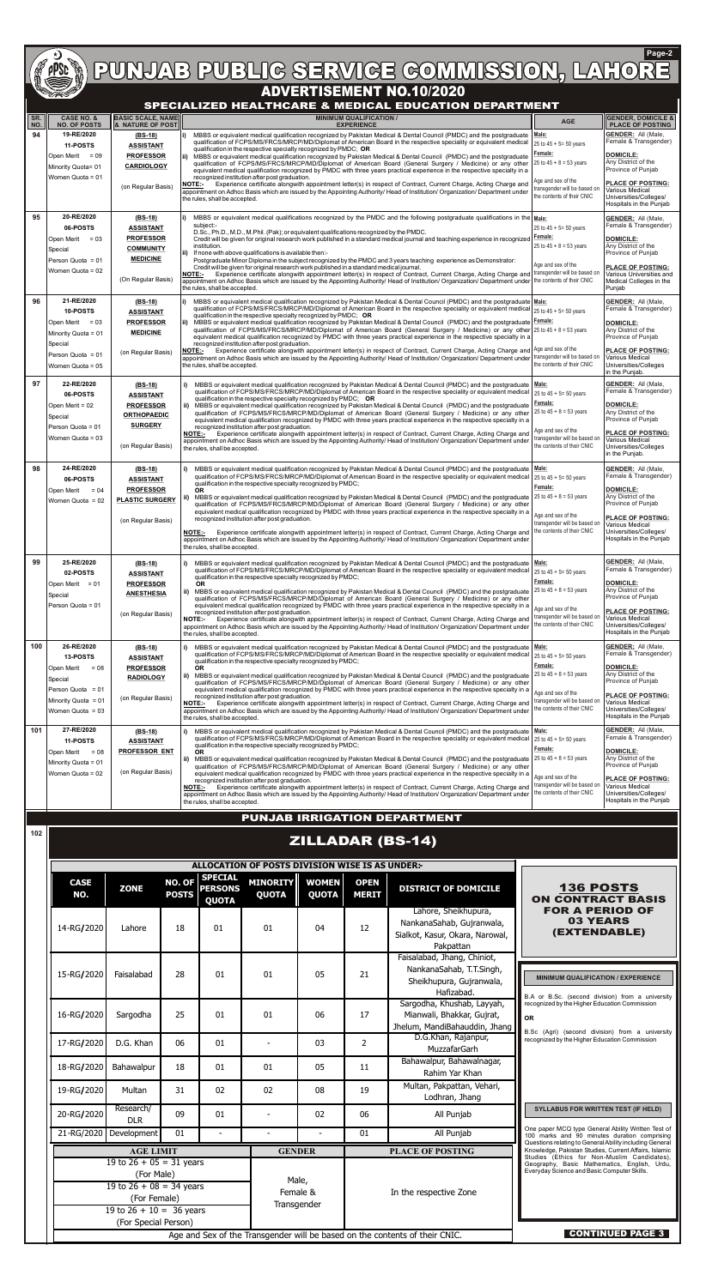

# PUNJAB PUBLIC SERVICE COMMISSION, LAHORE **Page-2**

| SR.<br>  NO. | <b>CASE NO. &amp;</b><br><b>NO. OF POSTS</b>                                         | <b>BASIC SCALE, NAME</b><br>& NATURE OF POST                              | <b>MINIMUM QUALIFICATION /</b><br><b>EXPERIENCE</b>                                                                                                                                                                                                                                                                                                                                                                                                                                                                                                                                                                                                                                                                                                                                                              | <b>AGE</b>                                                                       | <b>GENDER, DOMICILE &amp;</b><br><b>PLACE OF POSTING</b>                                                               |
|--------------|--------------------------------------------------------------------------------------|---------------------------------------------------------------------------|------------------------------------------------------------------------------------------------------------------------------------------------------------------------------------------------------------------------------------------------------------------------------------------------------------------------------------------------------------------------------------------------------------------------------------------------------------------------------------------------------------------------------------------------------------------------------------------------------------------------------------------------------------------------------------------------------------------------------------------------------------------------------------------------------------------|----------------------------------------------------------------------------------|------------------------------------------------------------------------------------------------------------------------|
| 94           | 19-RE/2020<br><b>11-POSTS</b><br>Open Merit<br>$= 09$<br>Minority Quota= 01          | $(BS-18)$<br><b>ASSISTANT</b><br><b>PROFESSOR</b><br><b>CARDIOLOGY</b>    | MBBS or equivalent medical qualification recognized by Pakistan Medical & Dental Council (PMDC) and the postgraduate<br>li)<br>qualification of FCPS/MS/FRCS/MRCP/MD/Diplomat of American Board in the respective speciality or equivalent medical<br>qualification in the respective specialty recognized by PMDC; OR<br>ii) MBBS or equivalent medical qualification recognized by Pakistan Medical & Dental Council (PMDC) and the postgraduate<br>qualification of FCPS/MS/FRCS/MRCP/MD/Diplomat of American Board (General Surgery / Medicine) or any other<br>equivalent medical qualification recognized by PMDC with three years practical experience in the respective specialty in a<br>recognized institution after post graduation.                                                                  | Male:<br>25 to $45 + 5 = 50$ years<br>Female:<br>25 to $45 + 8 = 53$ years       | <b>GENDER: All (Male,</b><br>Female & Transgender)<br><b>DOMICILE:</b><br>Any District of the<br>Province of Punjab    |
|              | Women Quota = 01                                                                     | (on Regular Basis)                                                        | Experience certificate alongwith appointment letter(s) in respect of Contract, Current Charge, Acting Charge and<br>NOTE:-<br>appointment on Adhoc Basis which are issued by the Appointing Authority/ Head of Institution/ Organization/ Department under<br>the rules, shall be accepted.                                                                                                                                                                                                                                                                                                                                                                                                                                                                                                                      | Age and sex of the<br>transgender will be based on<br>the contents of their CNIC | <b>PLACE OF POSTING:</b><br>Various Medical<br>Universities/Colleges/<br>Hospitals in the Punjab                       |
| 95           | 20-RE/2020<br>06-POSTS                                                               | (BS-18)<br><b>ASSISTANT</b>                                               | MBBS or equivalent medical qualifications recognized by the PMDC and the following postgraduate qualifications in the Male:<br>l i)<br>subject:-<br>D.Sc., Ph.D., M.D., M.Phil. (Pak); or equivalent qualifications recognized by the PMDC.                                                                                                                                                                                                                                                                                                                                                                                                                                                                                                                                                                      | 25 to $45 + 5 = 50$ years                                                        | <b>GENDER: All (Male,</b><br>Female & Transgender)                                                                     |
|              | Open Merit $= 03$<br>Special<br>Person Quota = 01                                    | <b>PROFESSOR</b><br><b>COMMUNITY</b><br><b>MEDICINE</b>                   | Credit will be given for original research work published in a standard medical journal and teaching experience in recognized Female:<br>institution.<br>If none with above qualifications is available then:-<br>l ii)<br>Postgraduate Minor Diploma in the subject recognized by the PMDC and 3 years teaching experience as Demonstrator:                                                                                                                                                                                                                                                                                                                                                                                                                                                                     | 25 to $45 + 8 = 53$ years                                                        | <b>DOMICILE:</b><br>Any District of the<br>Province of Punjab                                                          |
|              | Women Quota = 02                                                                     | (On Regular Basis)                                                        | Credit will be given for original research work published in a standard medical journal.<br>Experience certificate alongwith appointment letter(s) in respect of Contract, Current Charge, Acting Charge and transgender will be based on<br><b>NOTE:-</b><br>appointment on Adhoc Basis which are issued by the Appointing Authority/ Head of Institution/ Organization/ Department under the contents of their CNIC<br>the rules, shall be accepted.                                                                                                                                                                                                                                                                                                                                                           | Age and sex of the                                                               | <b>PLACE OF POSTING:</b><br>Various Universities and<br>Medical Colleges in the<br>Punjab                              |
| 96           | 21-RE/2020<br><b>10-POSTS</b><br>Open Merit $= 03$<br>Minority Quota = 01<br>Special | $(BS-18)$<br><b>ASSISTANT</b><br><b>PROFESSOR</b><br><b>MEDICINE</b>      | MBBS or equivalent medical qualification recognized by Pakistan Medical & Dental Council (PMDC) and the postgraduate Male:<br>l i )<br>qualification of FCPS/MS/FRCS/MRCP/MD/Diplomat of American Board in the respective speciality or equivalent medical 25 to 45 + 5= 50 years<br>qualification in the respective specialty recognized by PMDC; $OR$<br>ii) MBBS or equivalent medical qualification recognized by Pakistan Medical & Dental Council (PMDC) and the postgraduate Female:<br>qualification of FCPS/MS/FRCS/MRCP/MD/Diplomat of American Board (General Surgery / Medicine) or any other 25 to 45 + 8 = 53 years<br>equivalent medical qualification recognized by PMDC with three years practical experience in the respective specialty in a<br>recognized institution after post graduation. |                                                                                  | <b>GENDER: All (Male.</b><br>Female & Transgender)<br><b>DOMICILE:</b><br>Any District of the<br>Province of Punjab    |
|              | Person Quota = 01<br>Women Quota = 05                                                | (on Regular Basis)                                                        | Experience certificate alongwith appointment letter(s) in respect of Contract, Current Charge, Acting Charge and Age and sex of the<br><b>NOTE:-</b><br>appointment on Adhoc Basis which are issued by the Appointing Authority/ Head of Institution/ Organization/ Department under transgender will be based on<br>the rules, shall be accepted.                                                                                                                                                                                                                                                                                                                                                                                                                                                               | the contents of their CNIC                                                       | <b>PLACE OF POSTING:</b><br>Various Medical<br>Universities/Colleges<br>in the Punjab.                                 |
| 97           | 22-RE/2020<br>06-POSTS<br>Open Merit = 02                                            | $(BS-18)$<br><b>ASSISTANT</b><br><b>PROFESSOR</b>                         | MBBS or equivalent medical qualification recognized by Pakistan Medical & Dental Council (PMDC) and the postgraduate<br>qualification of FCPS/MS/FRCS/MRCP/MD/Diplomat of American Board in the respective speciality or equivalent medical<br>qualification in the respective specialty recognized by PMDC; OR                                                                                                                                                                                                                                                                                                                                                                                                                                                                                                  | Male:<br>25 to $45 + 5 = 50$ years<br>Female:                                    | <b>GENDER: All (Male,</b><br>Female & Transgender)<br><b>DOMICILE:</b>                                                 |
|              | Special<br>Person Quota = 01                                                         | <b>ORTHOPAEDIC</b><br><b>SURGERY</b>                                      | ii) MBBS or equivalent medical qualification recognized by Pakistan Medical & Dental Council (PMDC) and the postgraduate<br>qualification of FCPS/MS/FRCS/MRCP/MD/Diplomat of American Board (General Surgery / Medicine) or any other 25 to 45 + 8 = 53 years<br>equivalent medical qualification recognized by PMDC with three years practical experience in the respective specialty in a<br>recognized institution after post graduation.                                                                                                                                                                                                                                                                                                                                                                    | Age and sex of the                                                               | Any District of the<br>Province of Punjab                                                                              |
|              | Women Quota = 03                                                                     | (on Regular Basis)                                                        | Experience certificate alongwith appointment letter(s) in respect of Contract, Current Charge, Acting Charge and<br><b>NOTE:-</b><br>appointment on Adhoc Basis which are issued by the Appointing Authority/ Head of Institution/ Organization/ Department under<br>the rules, shall be accepted.                                                                                                                                                                                                                                                                                                                                                                                                                                                                                                               | transgender will be based on<br>the contents of their CNIC                       | <b>PLACE OF POSTING:</b><br>Various Medical<br>Universities/Colleges<br>in the Punjab.                                 |
| 98           | 24-RE/2020<br>06-POSTS<br>Open Merit<br>$= 04$<br>Women Quota = 02                   | (BS-18)<br><b>ASSISTANT</b><br><b>PROFESSOR</b><br><b>PLASTIC SURGERY</b> | MBBS or equivalent medical qualification recognized by Pakistan Medical & Dental Council (PMDC) and the postgraduate   Male:<br>qualification of FCPS/MS/FRCS/MRCP/MD/Diplomat of American Board in the respective speciality or equivalent medical<br>qualification in the respective specialty recognized by PMDC;<br><b>OR</b><br>MBBS or equivalent medical qualification recognized by Pakistan Medical & Dental Council (PMDC) and the postgraduate $25$ to $45 + 8 = 53$ years<br>ii)                                                                                                                                                                                                                                                                                                                     | 25 to $45 + 5 = 50$ years<br>Female:                                             | <b>GENDER: All (Male,</b><br>Female & Transgender)<br><b>DOMICILE:</b><br>Any District of the                          |
|              |                                                                                      | (on Regular Basis)                                                        | qualification of FCPS/MS/FRCS/MRCP/MD/Diplomat of American Board (General Surgery / Medicine) or any other<br>equivalent medical qualification recognized by PMDC with three years practical experience in the respective specialty in a<br>recognized institution after post graduation.<br>Experience certificate alongwith appointment letter(s) in respect of Contract, Current Charge, Acting Charge and<br><b>NOTE:-</b><br>appointment on Adhoc Basis which are issued by the Appointing Authority/ Head of Institution/ Organization/ Department under<br>the rules, shall be accepted.                                                                                                                                                                                                                  | Age and sex of the<br>transgender will be based on<br>the contents of their CNIC | Province of Punjab<br><b>PLACE OF POSTING:</b><br>Various Medical<br>Universities/Colleges/<br>Hospitals in the Punjab |
| 99           | 25-RE/2020<br>02-POSTS                                                               | (BS-18)<br><b>ASSISTANT</b>                                               | MBBS or equivalent medical qualification recognized by Pakistan Medical & Dental Council (PMDC) and the postgraduate<br>qualification of FCPS/MS/FRCS/MRCP/MD/Diplomat of American Board in the respective speciality or equivalent medical<br>qualification in the respective specialty recognized by PMDC;                                                                                                                                                                                                                                                                                                                                                                                                                                                                                                     | Male:<br>25 to $45 + 5 = 50$ years<br>Female:                                    | <b>GENDER: All (Male,</b><br>Female & Transgender)                                                                     |
|              | Open Merit $= 01$<br>Special<br>Person Quota = 01                                    | <b>PROFESSOR</b><br><b>ANESTHESIA</b>                                     | OR.<br>ii) MBBS or equivalent medical qualification recognized by Pakistan Medical & Dental Council (PMDC) and the postgraduate $25$ to $45 + 8 = 53$ years<br>qualification of FCPS/MS/FRCS/MRCP/MD/Diplomat of American Board (General Surgery / Medicine) or any other<br>equivalent medical qualification recognized by PMDC with three years practical experience in the respective specialty in a                                                                                                                                                                                                                                                                                                                                                                                                          | Age and sex of the                                                               | <b>DOMICILE:</b><br>Any District of the<br>Province of Punjab                                                          |
|              |                                                                                      | (on Regular Basis)                                                        | recognized institution after post graduation.<br><b>NOTE:-</b><br>Experience certificate alongwith appointment letter(s) in respect of Contract, Current Charge, Acting Charge and<br>appointment on Adhoc Basis which are issued by the Appointing Authority/ Head of Institution/ Organization/ Department under<br>the rules, shall be accepted.                                                                                                                                                                                                                                                                                                                                                                                                                                                              | transgender will be based on<br>the contents of their CNIC                       | <b>PLACE OF POSTING:</b><br>Various Medical<br>Universities/Colleges/<br>Hospitals in the Punjab                       |
| 100          | 26-RE/2020<br>13-POSTS<br>Open Merit<br>$= 08$                                       | $(BS-18)$<br><b>ASSISTANT</b><br><b>PROFESSOR</b>                         | i)<br>MBBS or equivalent medical qualification recognized by Pakistan Medical & Dental Council (PMDC) and the postgraduate<br>qualification of FCPS/MS/FRCS/MRCP/MD/Diplomat of American Board in the respective speciality or equivalent medical<br>qualification in the respective specialty recognized by PMDC;<br><b>OR</b>                                                                                                                                                                                                                                                                                                                                                                                                                                                                                  | Male:<br>25 to $45 + 5 = 50$ years<br>Female:                                    | <b>GENDER: All (Male,</b><br>Female & Transgender)<br><b>DOMICILE:</b>                                                 |
|              | Special<br>Person Quota = $01$                                                       | <b>RADIOLOGY</b>                                                          | ii) MBBS or equivalent medical qualification recognized by Pakistan Medical & Dental Council (PMDC) and the postgraduate<br>qualification of FCPS/MS/FRCS/MRCP/MD/Diplomat of American Board (General Surgery / Medicine) or any other<br>equivalent medical qualification recognized by PMDC with three years practical experience in the respective specialty in a<br>recognized institution after post graduation.                                                                                                                                                                                                                                                                                                                                                                                            | 25 to $45 + 8 = 53$ years<br>Age and sex of the                                  | Any District of the<br>Province of Punjab<br><b>PLACE OF POSTING:</b>                                                  |
|              | Minority Quota = 01<br>Women Quota = 03                                              | (on Regular Basis)                                                        | Experience certificate alongwith appointment letter(s) in respect of Contract, Current Charge, Acting Charge and<br><b>NOTE:-</b><br>appointment on Adhoc Basis which are issued by the Appointing Authority/ Head of Institution/ Organization/ Department under<br>the rules, shall be accepted.                                                                                                                                                                                                                                                                                                                                                                                                                                                                                                               | transgender will be based on<br>the contents of their CNIC                       | Various Medical<br>Universities/Colleges/<br>Hospitals in the Punjab                                                   |
| 101          | 27-RE/2020<br><b>11-POSTS</b>                                                        | $(BS-18)$<br><b>ASSISTANT</b>                                             | i)<br>MBBS or equivalent medical qualification recognized by Pakistan Medical & Dental Council (PMDC) and the postgraduate<br>qualification of FCPS/MS/FRCS/MRCP/MD/Diplomat of American Board in the respective speciality or equivalent medical<br>qualification in the respective specialty recognized by PMDC;                                                                                                                                                                                                                                                                                                                                                                                                                                                                                               | Male:<br>25 to $45 + 5 = 50$ years                                               | <b>GENDER: All (Male,</b><br>Female & Transgender)                                                                     |
|              | Open Merit<br>$= 08$<br>Minority Quota = 01<br>Women Quota = 02                      | <b>PROFESSOR ENT</b><br>(on Regular Basis)                                | <b>OR</b><br>ii) MBBS or equivalent medical qualification recognized by Pakistan Medical & Dental Council (PMDC) and the postgraduate<br>qualification of FCPS/MS/FRCS/MRCP/MD/Diplomat of American Board (General Surgery / Medicine) or any other<br>equivalent medical qualification recognized by PMDC with three years practical experience in the respective specialty in a                                                                                                                                                                                                                                                                                                                                                                                                                                | Female:<br>25 to $45 + 8 = 53$ years                                             | DOMICILE:<br>Any District of the<br>Province of Punjab                                                                 |
|              |                                                                                      |                                                                           | recognized institution after post graduation.<br>Experience certificate alongwith appointment letter(s) in respect of Contract, Current Charge, Acting Charge and<br><b>NOTE:-</b><br>appointment on Adhoc Basis which are issued by the Appointing Authority/ Head of Institution/ Organization/ Department under<br>the rules, shall be accepted.                                                                                                                                                                                                                                                                                                                                                                                                                                                              | Age and sex of the<br>transgender will be based on<br>the contents of their CNIC | <b>PLACE OF POSTING:</b><br>Various Medical<br>Universities/Colleges/<br>Hospitals in the Punjab                       |
|              |                                                                                      |                                                                           | <b>PUNJAB IRRIGATION DEPARTMENT</b>                                                                                                                                                                                                                                                                                                                                                                                                                                                                                                                                                                                                                                                                                                                                                                              |                                                                                  |                                                                                                                        |

| <b>CASE</b><br>NO. | <b>ZONE</b>                                                                                                          | NO. OF<br><b>POSTS</b>  | <b>SPECIAL</b><br><b>PERSONS</b><br><b>QUOTA</b> | <b>MINORITY</b><br><b>QUOTA</b>                   | <b>WOMEN</b><br><b>QUOTA</b> | <b>OPEN</b><br><b>MERIT</b> | <b>DISTRICT OF DOMICILE</b>                                                                          | <b>136 POSTS</b><br><b>ON CONTRACT BASIS</b>                                                                                                                  |  |
|--------------------|----------------------------------------------------------------------------------------------------------------------|-------------------------|--------------------------------------------------|---------------------------------------------------|------------------------------|-----------------------------|------------------------------------------------------------------------------------------------------|---------------------------------------------------------------------------------------------------------------------------------------------------------------|--|
| 14-RG/2020         | Lahore                                                                                                               | 18                      | 01                                               | 01                                                | 04                           | 12                          | Lahore, Sheikhupura,<br>NankanaSahab, Gujranwala,<br>Sialkot, Kasur, Okara, Narowal,<br>Pakpattan    | <b>FOR A PERIOD OF</b><br><b>03 YEARS</b><br>(EXTENDABLE)                                                                                                     |  |
| 15-RG/2020         | Faisalabad                                                                                                           | 28                      | 01                                               | 01                                                | 05                           | 21                          | Faisalabad, Jhang, Chiniot,<br>NankanaSahab, T.T.Singh,<br>Sheikhupura, Gujranwala,<br>Hafizabad.    | <b>MINIMUM QUALIFICATION / EXPERIENCE</b><br>B.A or B.Sc. (second division) from a university                                                                 |  |
| 16-RG/2020         | Sargodha                                                                                                             | 25                      | 01                                               | 01                                                | 06                           | 17                          | Sargodha, Khushab, Layyah,<br>Mianwali, Bhakkar, Gujrat,<br>Jhelum, MandiBahauddin, Jhang            | recognized by the Higher Education Commission<br><b>OR</b>                                                                                                    |  |
| 17-RG/2020         | D.G. Khan                                                                                                            | 06                      | 01                                               |                                                   | 03                           | $\overline{2}$              | D.G.Khan, Rajanpur,<br>MuzzafarGarh                                                                  | B.Sc (Agri) (second division) from a university<br>recognized by the Higher Education Commission                                                              |  |
| 18-RG/2020         | Bahawalpur                                                                                                           | 18                      | 01                                               | 01                                                | 05                           | 11                          | Bahawalpur, Bahawalnagar,<br>Rahim Yar Khan                                                          |                                                                                                                                                               |  |
| 19-RG/2020         | Multan                                                                                                               | 31                      | 02                                               | 02                                                | 08                           | 19                          | Multan, Pakpattan, Vehari,<br>Lodhran, Jhang                                                         |                                                                                                                                                               |  |
| 20-RG/2020         | Research/<br><b>DLR</b>                                                                                              | 09                      | 01                                               |                                                   | 02                           | 06                          | All Punjab                                                                                           | <b>SYLLABUS FOR WRITTEN TEST (IF HELD)</b>                                                                                                                    |  |
| 21-RG/2020         | Development                                                                                                          | 01                      |                                                  |                                                   |                              | 01                          | All Punjab                                                                                           | One paper MCQ type General Ability Written Test of<br>100 marks and 90 minutes duration comprising<br>Questions relating to General Ability including General |  |
|                    | <b>AGE LIMIT</b>                                                                                                     |                         |                                                  | <b>GENDER</b><br>Male,<br>Female &<br>Transgender |                              | <b>PLACE OF POSTING</b>     | Knowledge, Pakistan Studies, Current Affairs, Islamic<br>Studies (Ethics for Non-Muslim Candidates), |                                                                                                                                                               |  |
|                    | 19 to $26 + 05 = 31$ years<br>(For Male)<br>19 to $26 + 08 = 34$ years<br>(For Female)<br>19 to $26 + 10 = 36$ years |                         |                                                  |                                                   |                              | In the respective Zone      | Geography, Basic Mathematics, English, Urdu,<br>Everyday Science and Basic Computer Skills.          |                                                                                                                                                               |  |
|                    | (For Special Person)                                                                                                 | <b>CONTINUED PAGE 3</b> |                                                  |                                                   |                              |                             |                                                                                                      |                                                                                                                                                               |  |

**102**

### **SPECIALIZED HEALTHCARE & MEDICAL EDUCATION DEPARTMENT**

## ZILLADAR (BS-14)